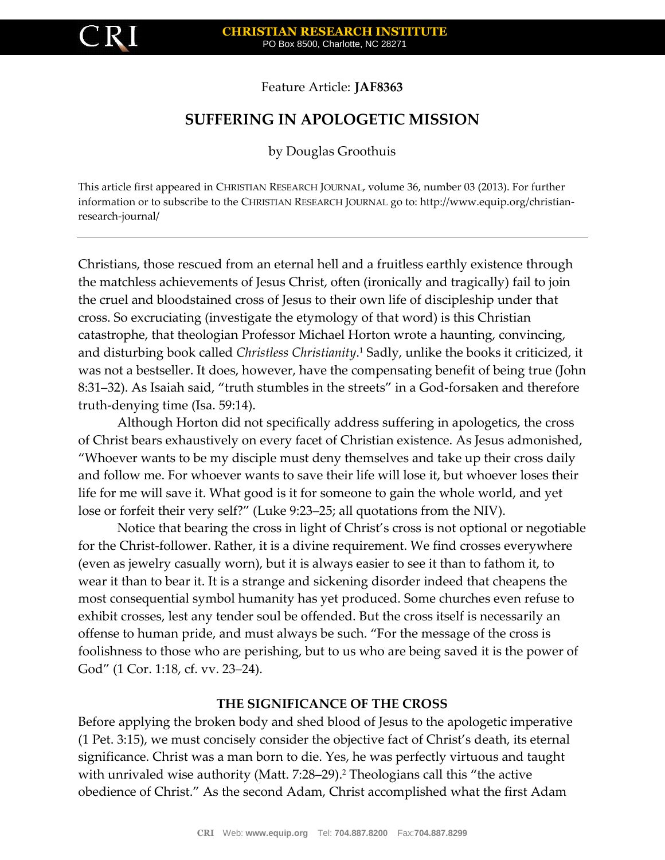

Feature Article: **JAF8363**

# **SUFFERING IN APOLOGETIC MISSION**

by Douglas Groothuis

This article first appeared in CHRISTIAN RESEARCH JOURNAL, volume 36, number 03 (2013). For further information or to subscribe to the CHRISTIAN RESEARCH JOURNAL go to: http://www.equip.org/christianresearch-journal/

Christians, those rescued from an eternal hell and a fruitless earthly existence through the matchless achievements of Jesus Christ, often (ironically and tragically) fail to join the cruel and bloodstained cross of Jesus to their own life of discipleship under that cross. So excruciating (investigate the etymology of that word) is this Christian catastrophe, that theologian Professor Michael Horton wrote a haunting, convincing, and disturbing book called *Christless Christianity*. <sup>1</sup> Sadly, unlike the books it criticized, it was not a bestseller. It does, however, have the compensating benefit of being true (John 8:31–32). As Isaiah said, "truth stumbles in the streets" in a God-forsaken and therefore truth-denying time (Isa. 59:14).

Although Horton did not specifically address suffering in apologetics, the cross of Christ bears exhaustively on every facet of Christian existence. As Jesus admonished, "Whoever wants to be my disciple must deny themselves and take up their cross daily and follow me. For whoever wants to save their life will lose it, but whoever loses their life for me will save it. What good is it for someone to gain the whole world, and yet lose or forfeit their very self?" (Luke 9:23–25; all quotations from the NIV).

Notice that bearing the cross in light of Christ's cross is not optional or negotiable for the Christ-follower. Rather, it is a divine requirement. We find crosses everywhere (even as jewelry casually worn), but it is always easier to see it than to fathom it, to wear it than to bear it. It is a strange and sickening disorder indeed that cheapens the most consequential symbol humanity has yet produced. Some churches even refuse to exhibit crosses, lest any tender soul be offended. But the cross itself is necessarily an offense to human pride, and must always be such. "For the message of the cross is foolishness to those who are perishing, but to us who are being saved it is the power of God" (1 Cor. 1:18, cf. vv. 23–24).

## **THE SIGNIFICANCE OF THE CROSS**

Before applying the broken body and shed blood of Jesus to the apologetic imperative (1 Pet. 3:15), we must concisely consider the objective fact of Christ's death, its eternal significance. Christ was a man born to die. Yes, he was perfectly virtuous and taught with unrivaled wise authority (Matt. 7:28–29).<sup>2</sup> Theologians call this "the active obedience of Christ." As the second Adam, Christ accomplished what the first Adam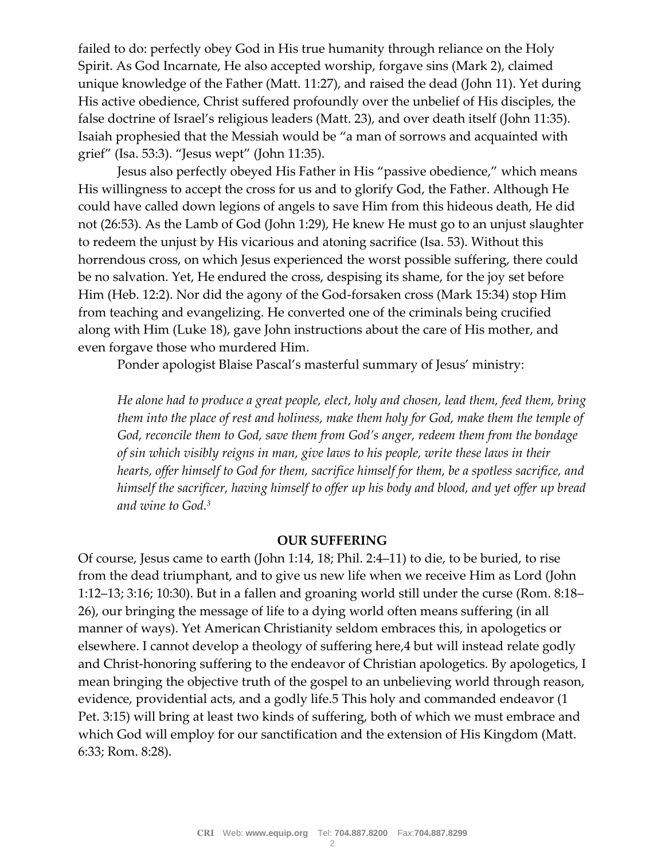failed to do: perfectly obey God in His true humanity through reliance on the Holy Spirit. As God Incarnate, He also accepted worship, forgave sins (Mark 2), claimed unique knowledge of the Father (Matt. 11:27), and raised the dead (John 11). Yet during His active obedience, Christ suffered profoundly over the unbelief of His disciples, the false doctrine of Israel's religious leaders (Matt. 23), and over death itself (John 11:35). Isaiah prophesied that the Messiah would be "a man of sorrows and acquainted with grief" (Isa. 53:3). "Jesus wept" (John 11:35).

Jesus also perfectly obeyed His Father in His "passive obedience," which means His willingness to accept the cross for us and to glorify God, the Father. Although He could have called down legions of angels to save Him from this hideous death, He did not (26:53). As the Lamb of God (John 1:29), He knew He must go to an unjust slaughter to redeem the unjust by His vicarious and atoning sacrifice (Isa. 53). Without this horrendous cross, on which Jesus experienced the worst possible suffering, there could be no salvation. Yet, He endured the cross, despising its shame, for the joy set before Him (Heb. 12:2). Nor did the agony of the God-forsaken cross (Mark 15:34) stop Him from teaching and evangelizing. He converted one of the criminals being crucified along with Him (Luke 18), gave John instructions about the care of His mother, and even forgave those who murdered Him.

Ponder apologist Blaise Pascal's masterful summary of Jesus' ministry:

*He alone had to produce a great people, elect, holy and chosen, lead them, feed them, bring them into the place of rest and holiness, make them holy for God, make them the temple of God, reconcile them to God, save them from God's anger, redeem them from the bondage of sin which visibly reigns in man, give laws to his people, write these laws in their hearts, offer himself to God for them, sacrifice himself for them, be a spotless sacrifice, and himself the sacrificer, having himself to offer up his body and blood, and yet offer up bread and wine to God.<sup>3</sup>*

### **OUR SUFFERING**

Of course, Jesus came to earth (John 1:14, 18; Phil. 2:4–11) to die, to be buried, to rise from the dead triumphant, and to give us new life when we receive Him as Lord (John 1:12–13; 3:16; 10:30). But in a fallen and groaning world still under the curse (Rom. 8:18– 26), our bringing the message of life to a dying world often means suffering (in all manner of ways). Yet American Christianity seldom embraces this, in apologetics or elsewhere. I cannot develop a theology of suffering here,4 but will instead relate godly and Christ-honoring suffering to the endeavor of Christian apologetics. By apologetics, I mean bringing the objective truth of the gospel to an unbelieving world through reason, evidence, providential acts, and a godly life.5 This holy and commanded endeavor (1 Pet. 3:15) will bring at least two kinds of suffering, both of which we must embrace and which God will employ for our sanctification and the extension of His Kingdom (Matt. 6:33; Rom. 8:28).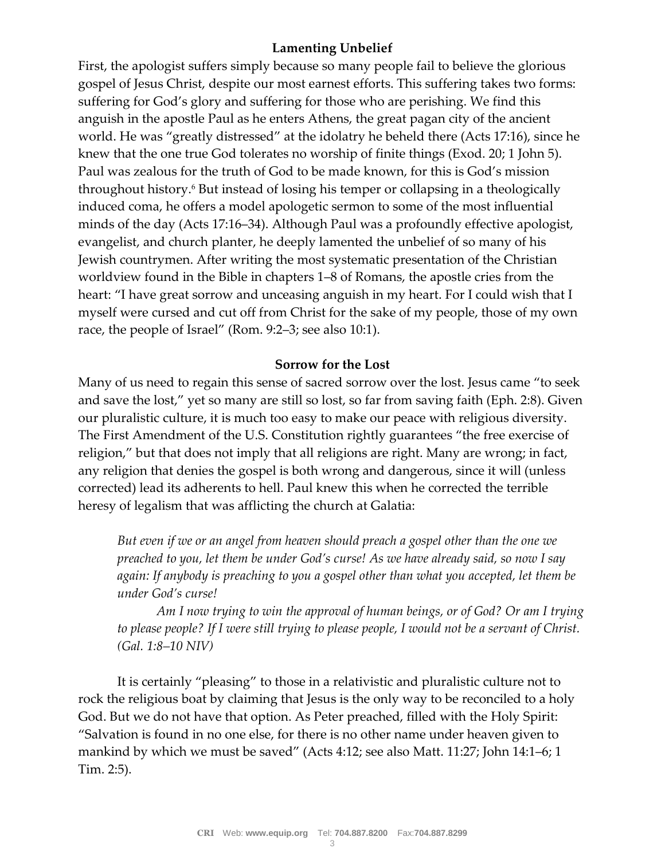# **Lamenting Unbelief**

First, the apologist suffers simply because so many people fail to believe the glorious gospel of Jesus Christ, despite our most earnest efforts. This suffering takes two forms: suffering for God's glory and suffering for those who are perishing. We find this anguish in the apostle Paul as he enters Athens, the great pagan city of the ancient world. He was "greatly distressed" at the idolatry he beheld there (Acts 17:16), since he knew that the one true God tolerates no worship of finite things (Exod. 20; 1 John 5). Paul was zealous for the truth of God to be made known, for this is God's mission throughout history.<sup>6</sup> But instead of losing his temper or collapsing in a theologically induced coma, he offers a model apologetic sermon to some of the most influential minds of the day (Acts 17:16–34). Although Paul was a profoundly effective apologist, evangelist, and church planter, he deeply lamented the unbelief of so many of his Jewish countrymen. After writing the most systematic presentation of the Christian worldview found in the Bible in chapters 1–8 of Romans, the apostle cries from the heart: "I have great sorrow and unceasing anguish in my heart. For I could wish that I myself were cursed and cut off from Christ for the sake of my people, those of my own race, the people of Israel" (Rom. 9:2–3; see also 10:1).

## **Sorrow for the Lost**

Many of us need to regain this sense of sacred sorrow over the lost. Jesus came "to seek and save the lost," yet so many are still so lost, so far from saving faith (Eph. 2:8). Given our pluralistic culture, it is much too easy to make our peace with religious diversity. The First Amendment of the U.S. Constitution rightly guarantees "the free exercise of religion," but that does not imply that all religions are right. Many are wrong; in fact, any religion that denies the gospel is both wrong and dangerous, since it will (unless corrected) lead its adherents to hell. Paul knew this when he corrected the terrible heresy of legalism that was afflicting the church at Galatia:

*But even if we or an angel from heaven should preach a gospel other than the one we preached to you, let them be under God's curse! As we have already said, so now I say again: If anybody is preaching to you a gospel other than what you accepted, let them be under God's curse!*

*Am I now trying to win the approval of human beings, or of God? Or am I trying to please people? If I were still trying to please people, I would not be a servant of Christ. (Gal. 1:8–10 NIV)*

It is certainly "pleasing" to those in a relativistic and pluralistic culture not to rock the religious boat by claiming that Jesus is the only way to be reconciled to a holy God. But we do not have that option. As Peter preached, filled with the Holy Spirit: "Salvation is found in no one else, for there is no other name under heaven given to mankind by which we must be saved" (Acts 4:12; see also Matt. 11:27; John 14:1–6; 1 Tim. 2:5).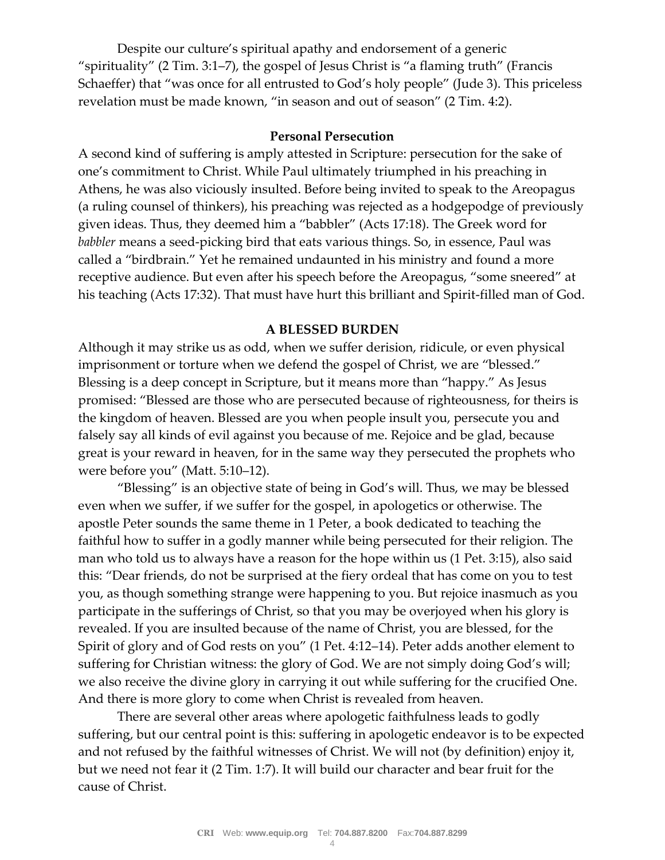Despite our culture's spiritual apathy and endorsement of a generic "spirituality" (2 Tim. 3:1–7), the gospel of Jesus Christ is "a flaming truth" (Francis Schaeffer) that "was once for all entrusted to God's holy people" (Jude 3). This priceless revelation must be made known, "in season and out of season" (2 Tim. 4:2).

### **Personal Persecution**

A second kind of suffering is amply attested in Scripture: persecution for the sake of one's commitment to Christ. While Paul ultimately triumphed in his preaching in Athens, he was also viciously insulted. Before being invited to speak to the Areopagus (a ruling counsel of thinkers), his preaching was rejected as a hodgepodge of previously given ideas. Thus, they deemed him a "babbler" (Acts 17:18). The Greek word for *babbler* means a seed-picking bird that eats various things. So, in essence, Paul was called a "birdbrain." Yet he remained undaunted in his ministry and found a more receptive audience. But even after his speech before the Areopagus, "some sneered" at his teaching (Acts 17:32). That must have hurt this brilliant and Spirit-filled man of God.

#### **A BLESSED BURDEN**

Although it may strike us as odd, when we suffer derision, ridicule, or even physical imprisonment or torture when we defend the gospel of Christ, we are "blessed." Blessing is a deep concept in Scripture, but it means more than "happy." As Jesus promised: "Blessed are those who are persecuted because of righteousness, for theirs is the kingdom of heaven. Blessed are you when people insult you, persecute you and falsely say all kinds of evil against you because of me. Rejoice and be glad, because great is your reward in heaven, for in the same way they persecuted the prophets who were before you" (Matt. 5:10–12).

"Blessing" is an objective state of being in God's will. Thus, we may be blessed even when we suffer, if we suffer for the gospel, in apologetics or otherwise. The apostle Peter sounds the same theme in 1 Peter, a book dedicated to teaching the faithful how to suffer in a godly manner while being persecuted for their religion. The man who told us to always have a reason for the hope within us (1 Pet. 3:15), also said this: "Dear friends, do not be surprised at the fiery ordeal that has come on you to test you, as though something strange were happening to you. But rejoice inasmuch as you participate in the sufferings of Christ, so that you may be overjoyed when his glory is revealed. If you are insulted because of the name of Christ, you are blessed, for the Spirit of glory and of God rests on you" (1 Pet. 4:12–14). Peter adds another element to suffering for Christian witness: the glory of God. We are not simply doing God's will; we also receive the divine glory in carrying it out while suffering for the crucified One. And there is more glory to come when Christ is revealed from heaven.

There are several other areas where apologetic faithfulness leads to godly suffering, but our central point is this: suffering in apologetic endeavor is to be expected and not refused by the faithful witnesses of Christ. We will not (by definition) enjoy it, but we need not fear it (2 Tim. 1:7). It will build our character and bear fruit for the cause of Christ.